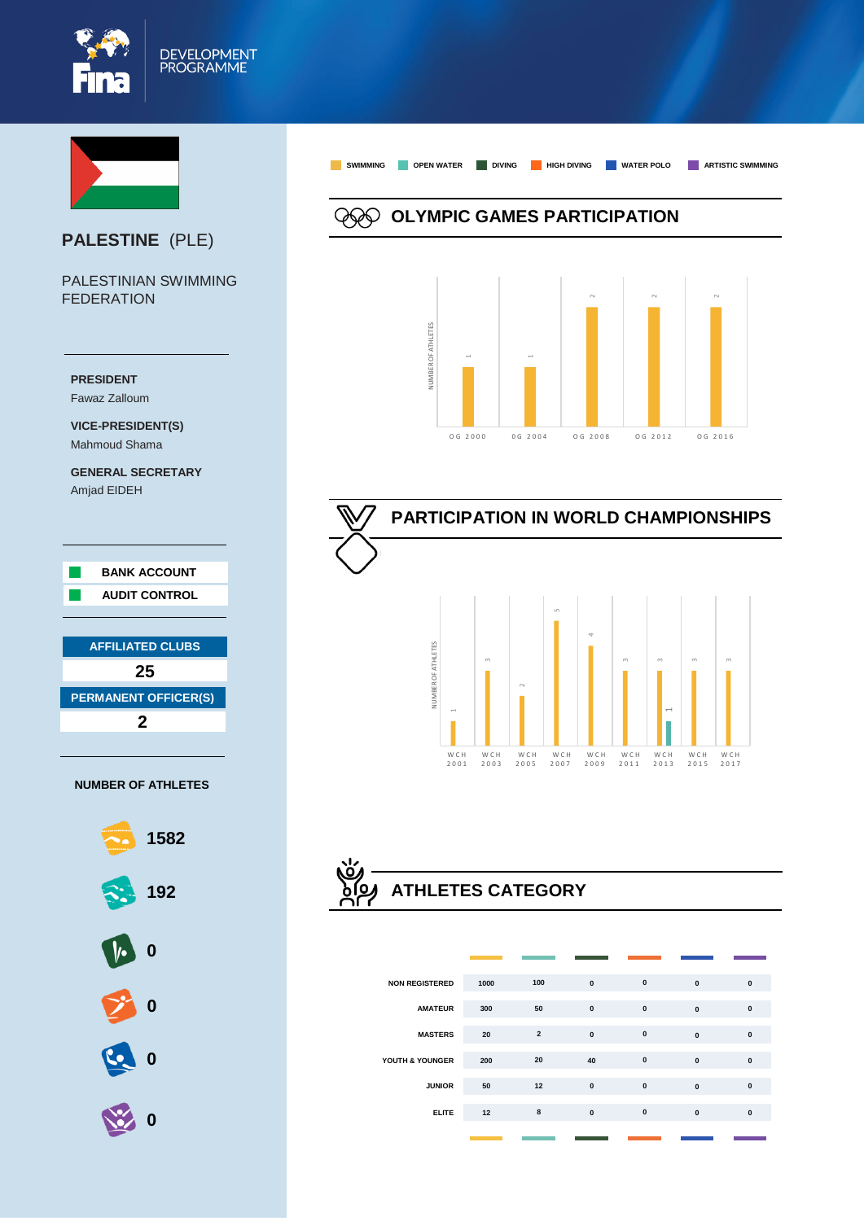